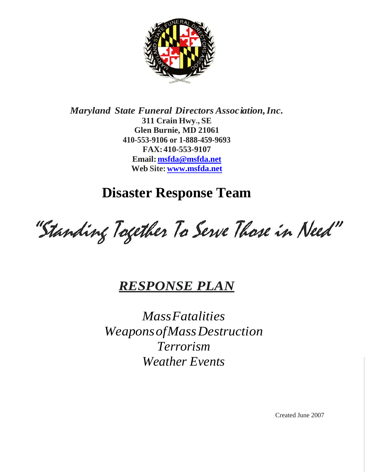

*Maryland State Funeral Directors Association,Inc.* **311 Crain Hwy., SE Glen Burnie, MD 21061 410-553-9106 or 1-888-459-9693 FAX:410-553-9107 Email: [msfda@msfda.net](mailto:msfda@msfda.net) Web Site: [www.msfda.net](http://www.msfda.net/)**

**Disaster Response Team**

"Standing Together To Serve Those in Need"

# *RESPONSE PLAN*

*MassFatalities WeaponsofMassDestruction Terrorism Weather Events*

Created June 2007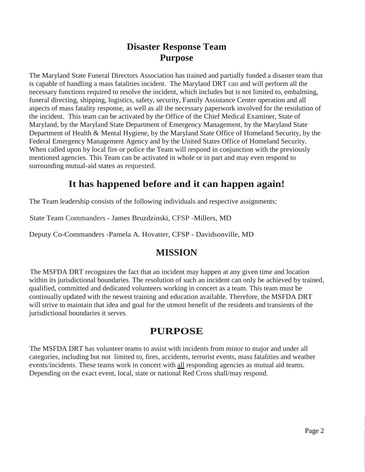### **Disaster Response Team Purpose**

The Maryland State Funeral Directors Association has trained and partially funded a disaster team that is capable of handling a mass fatalities incident. The Maryland DRT can and will perform all the necessary functions required to resolve the incident, which includes but is not limited to, embalming, funeral directing, shipping, logistics, safety, security, Family Assistance Center operation and all aspects of mass fatality response, as well as all the necessary paperwork involved for the resolution of the incident. This team can be activated by the Office of the Chief Medical Examiner, State of Maryland, by the Maryland State Department of Emergency Management, by the Maryland State Department of Health & Mental Hygiene, by the Maryland State Office of Homeland Security, by the Federal Emergency Management Agency and by the United States Office of Homeland Security. When called upon by local fire or police the Team will respond in conjunction with the previously mentioned agencies. This Team can be activated in whole or in part and may even respond to surrounding mutual-aid states as requested.

### **It has happened before and it can happen again!**

The Team leadership consists of the following individuals and respective assignments:

State Team Commanders - James Bruzdzinski, CFSP -Millers, MD

Deputy Co-Commanders -Pamela A. Hovatter, CFSP - Davidsonville, MD

#### **MISSION**

The MSFDA DRT recognizes the fact that an incident may happen at any given time and location within its jurisdictional boundaries. The resolution of such an incident can only be achieved by trained, qualified, committed and dedicated volunteers working in concert as a team. This team must be continually updated with the newest training and education available. Therefore, the MSFDA DRT will strive to maintain that idea and goal for the utmost benefit of the residents and transients of the jurisdictional boundaries it serves.

### **PURPOSE**

The MSFDA DRT has volunteer teams to assist with incidents from minor to major and under all categories, including but not limited to, fires, accidents, terrorist events, mass fatalities and weather events/incidents. These teams work in concert with all responding agencies as mutual aid teams. Depending on the exact event, local, state or national Red Cross shall/may respond.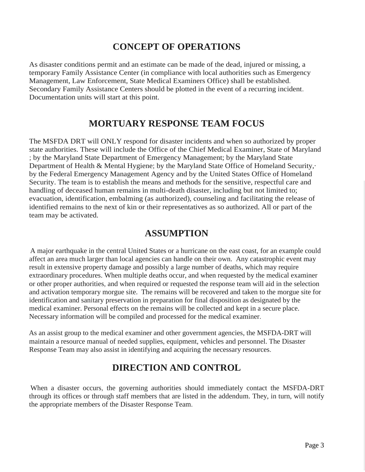#### **CONCEPT OF OPERATIONS**

As disaster conditions permit and an estimate can be made of the dead, injured or missing, a temporary Family Assistance Center (in compliance with local authorities such as Emergency Management, Law Enforcement, State Medical Examiners Office) shall be established. Secondary Family Assistance Centers should be plotted in the event of a recurring incident. Documentation units will start at this point.

#### **MORTUARY RESPONSE TEAM FOCUS**

The MSFDA DRT will ONLY respond for disaster incidents and when so authorized by proper state authorities. These will include the Office of the Chief Medical Examiner, State of Maryland ; by the Maryland State Department of Emergency Management; by the Maryland State Department of Health & Mental Hygiene; by the Maryland State Office of Homeland Security, by the Federal Emergency Management Agency and by the United States Office of Homeland Security. The team is to establish the means and methods for the sensitive, respectful care and handling of deceased human remains in multi-death disaster, including but not limited to; evacuation, identification, embalming (as authorized), counseling and facilitating the release of identified remains to the next of kin or their representatives as so authorized. All or part of the team may be activated.

### **ASSUMPTION**

A major earthquake in the central United States or a hurricane on the east coast, for an example could affect an area much larger than local agencies can handle on their own. Any catastrophic event may result in extensive property damage and possibly a large number of deaths, which may require extraordinary procedures. When multiple deaths occur, and when requested by the medical examiner or other proper authorities, and when required or requested the response team will aid in the selection and activation temporary morgue site. The remains will be recovered and taken to the morgue site for identification and sanitary preservation in preparation for final disposition as designated by the medical examiner. Personal effects on the remains will be collected and kept in a secure place. Necessary information will be compiled and processed for the medical examiner.

As an assist group to the medical examiner and other government agencies, the MSFDA-DRT will maintain a resource manual of needed supplies, equipment, vehicles and personnel. The Disaster Response Team may also assist in identifying and acquiring the necessary resources.

### **DIRECTION AND CONTROL**

When a disaster occurs, the governing authorities should immediately contact the MSFDA-DRT through its offices or through staff members that are listed in the addendum. They, in turn, will notify the appropriate members of the Disaster Response Team.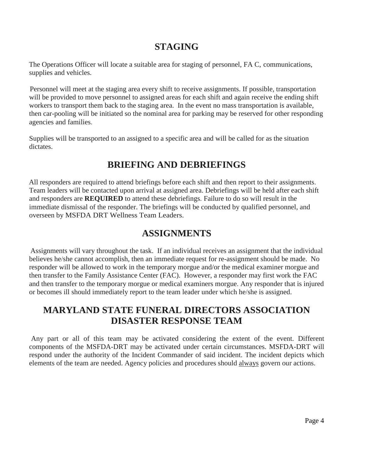### **STAGING**

The Operations Officer will locate a suitable area for staging of personnel, FA C, communications, supplies and vehicles.

Personnel will meet at the staging area every shift to receive assignments. If possible, transportation will be provided to move personnel to assigned areas for each shift and again receive the ending shift workers to transport them back to the staging area. In the event no mass transportation is available, then car-pooling will be initiated so the nominal area for parking may be reserved for other responding agencies and families.

Supplies will be transported to an assigned to a specific area and will be called for as the situation dictates.

## **BRIEFING AND DEBRIEFINGS**

All responders are required to attend briefings before each shift and then report to their assignments. Team leaders will be contacted upon arrival at assigned area. Debriefings will be held after each shift and responders are **REQUIRED** to attend these debriefings. Failure to do so will result in the immediate dismissal of the responder. The briefings will be conducted by qualified personnel, and overseen by MSFDA DRT Wellness Team Leaders.

### **ASSIGNMENTS**

Assignments will vary throughout the task. If an individual receives an assignment that the individual believes he/she cannot accomplish, then an immediate request for re-assignment should be made. No responder will be allowed to work in the temporary morgue and/or the medical examiner morgue and then transfer to the Family Assistance Center (FAC). However, a responder may first work the FAC and then transfer to the temporary morgue or medical examiners morgue. Any responder that is injured or becomes ill should immediately report to the team leader under which he/she is assigned.

### **MARYLAND STATE FUNERAL DIRECTORS ASSOCIATION DISASTER RESPONSE TEAM**

Any part or all of this team may be activated considering the extent of the event. Different components of the MSFDA-DRT may be activated under certain circumstances. MSFDA-DRT will respond under the authority of the Incident Commander of said incident. The incident depicts which elements of the team are needed. Agency policies and procedures should always govern our actions.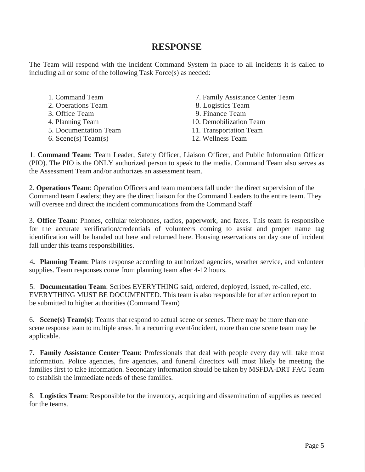#### **RESPONSE**

The Team will respond with the Incident Command System in place to all incidents it is called to including all or some of the following Task Force(s) as needed:

| 1. Command Team       | 7. F <sub>i</sub> |
|-----------------------|-------------------|
| 2. Operations Team    | 8. L              |
| 3. Office Team        | 9. F              |
| 4. Planning Team      | 10. D             |
| 5. Documentation Team | $11.$ T           |
| 6. Scene(s) Team(s)   | 12. W             |
|                       |                   |

amily Assistance Center Team

ogistics Team

inance Team

emobilization Team

- ransportation Team
- Vellness Team

1. **Command Team**: Team Leader, Safety Officer, Liaison Officer, and Public Information Officer (PIO). The PIO is the ONLY authorized person to speak to the media. Command Team also serves as the Assessment Team and/or authorizes an assessment team.

2. **Operations Team**: Operation Officers and team members fall under the direct supervision of the Command team Leaders; they are the direct liaison for the Command Leaders to the entire team. They will oversee and direct the incident communications from the Command Staff

3. **Office Team**: Phones, cellular telephones, radios, paperwork, and faxes. This team is responsible for the accurate verification/credentials of volunteers coming to assist and proper name tag identification will be handed out here and returned here. Housing reservations on day one of incident fall under this teams responsibilities.

4**. Planning Team**: Plans response according to authorized agencies, weather service, and volunteer supplies. Team responses come from planning team after 4-12 hours.

5. **Documentation Team**: Scribes EVERYTHING said, ordered, deployed, issued, re-called, etc. EVERYTHING MUST BE DOCUMENTED. This team is also responsible for after action report to be submitted to higher authorities (Command Team)

6. **Scene(s) Team(s)**: Teams that respond to actual scene or scenes. There may be more than one scene response team to multiple areas. In a recurring event/incident, more than one scene team may be applicable.

7. **Family Assistance Center Team**: Professionals that deal with people every day will take most information. Police agencies, fire agencies, and funeral directors will most likely be meeting the families first to take information. Secondary information should be taken by MSFDA-DRT FAC Team to establish the immediate needs of these families.

8. **Logistics Team**: Responsible for the inventory, acquiring and dissemination of supplies as needed for the teams.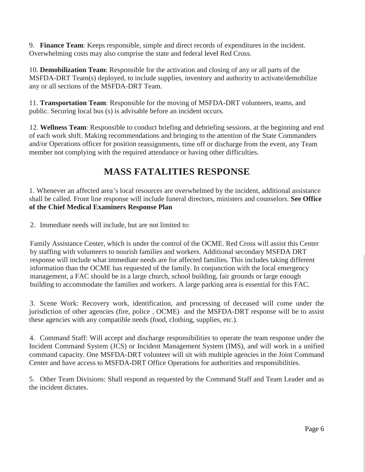9. **Finance Team**: Keeps responsible, simple and direct records of expenditures in the incident. Overwhelming costs may also comprise the state and federal level Red Cross.

10. **Demobilization Team**: Responsible for the activation and closing of any or all parts of the MSFDA-DRT Team(s) deployed, to include supplies, inventory and authority to activate/demobilize any or all sections of the MSFDA-DRT Team.

11. **Transportation Team**: Responsible for the moving of MSFDA-DRT volunteers, teams, and public. Securing local bus (s) is advisable before an incident occurs.

12. **Wellness Team**: Responsible to conduct briefing and debriefing sessions, at the beginning and end of each work shift. Making recommendations and bringing to the attention of the State Commanders and/or Operations officer for position reassignments, time off or discharge from the event, any Team member not complying with the required attendance or having other difficulties.

### **MASS FATALITIES RESPONSE**

1. Whenever an affected area's local resources are overwhelmed by the incident, additional assistance shall be called. Front line response will include funeral directors, ministers and counselors. **See Office of the Chief Medical Examiners Response Plan**

2. Immediate needs will include, but are not limited to:

Family Assistance Center, which is under the control of the OCME. Red Cross will assist this Center by staffing with volunteers to nourish families and workers. Additional secondary MSFDA DRT response will include what immediate needs are for affected families. This includes taking different information than the OCME has requested of the family. In conjunction with the local emergency management, a FAC should be in a large church, school building, fair grounds or large enough building to accommodate the families and workers. A large parking area is essential for this FAC.

3. Scene Work: Recovery work, identification, and processing of deceased will come under the jurisdiction of other agencies (fire, police , OCME) and the MSFDA-DRT response will be to assist these agencies with any compatible needs (food, clothing, supplies, etc.).

4. Command Staff: Will accept and discharge responsibilities to operate the team response under the Incident Command System (JCS) or Incident Management System (IMS), and will work in a unified command capacity. One MSFDA-DRT volunteer will sit with multiple agencies in the Joint Command Center and have access to MSFDA-DRT Office Operations for authorities and responsibilities.

5. Other Team Divisions: Shall respond as requested by the Command Staff and Team Leader and as the incident dictates.